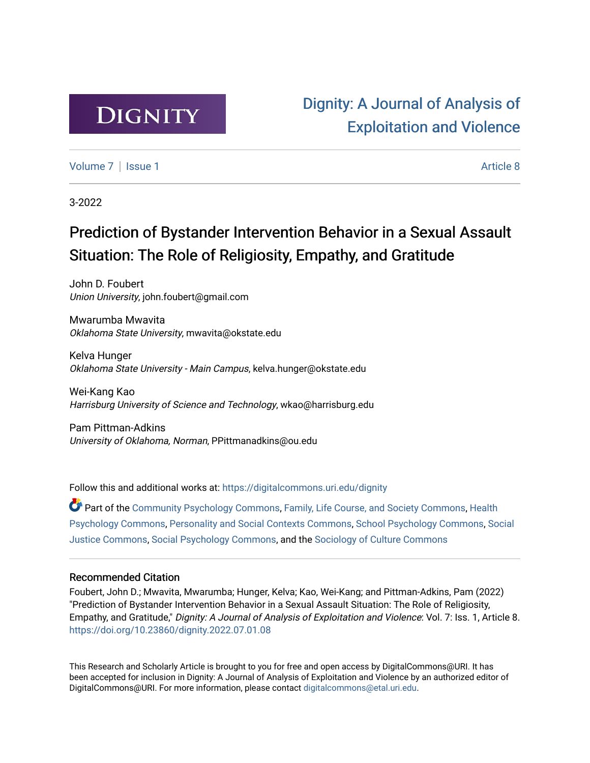

[Dignity: A Journal of Analysis of](https://digitalcommons.uri.edu/dignity)  [Exploitation and Violence](https://digitalcommons.uri.edu/dignity) 

[Volume 7](https://digitalcommons.uri.edu/dignity/vol7) | [Issue 1](https://digitalcommons.uri.edu/dignity/vol7/iss1) Article 8

3-2022

## Prediction of Bystander Intervention Behavior in a Sexual Assault Situation: The Role of Religiosity, Empathy, and Gratitude

John D. Foubert Union University, john.foubert@gmail.com

Mwarumba Mwavita Oklahoma State University, mwavita@okstate.edu

Kelva Hunger Oklahoma State University - Main Campus, kelva.hunger@okstate.edu

Wei-Kang Kao Harrisburg University of Science and Technology, wkao@harrisburg.edu

Pam Pittman-Adkins University of Oklahoma, Norman, PPittmanadkins@ou.edu

Follow this and additional works at: [https://digitalcommons.uri.edu/dignity](https://digitalcommons.uri.edu/dignity?utm_source=digitalcommons.uri.edu%2Fdignity%2Fvol7%2Fiss1%2F8&utm_medium=PDF&utm_campaign=PDFCoverPages) 

Part of the [Community Psychology Commons,](http://network.bepress.com/hgg/discipline/409?utm_source=digitalcommons.uri.edu%2Fdignity%2Fvol7%2Fiss1%2F8&utm_medium=PDF&utm_campaign=PDFCoverPages) [Family, Life Course, and Society Commons](http://network.bepress.com/hgg/discipline/419?utm_source=digitalcommons.uri.edu%2Fdignity%2Fvol7%2Fiss1%2F8&utm_medium=PDF&utm_campaign=PDFCoverPages), [Health](http://network.bepress.com/hgg/discipline/411?utm_source=digitalcommons.uri.edu%2Fdignity%2Fvol7%2Fiss1%2F8&utm_medium=PDF&utm_campaign=PDFCoverPages)  [Psychology Commons,](http://network.bepress.com/hgg/discipline/411?utm_source=digitalcommons.uri.edu%2Fdignity%2Fvol7%2Fiss1%2F8&utm_medium=PDF&utm_campaign=PDFCoverPages) [Personality and Social Contexts Commons](http://network.bepress.com/hgg/discipline/413?utm_source=digitalcommons.uri.edu%2Fdignity%2Fvol7%2Fiss1%2F8&utm_medium=PDF&utm_campaign=PDFCoverPages), [School Psychology Commons](http://network.bepress.com/hgg/discipline/1072?utm_source=digitalcommons.uri.edu%2Fdignity%2Fvol7%2Fiss1%2F8&utm_medium=PDF&utm_campaign=PDFCoverPages), [Social](http://network.bepress.com/hgg/discipline/1432?utm_source=digitalcommons.uri.edu%2Fdignity%2Fvol7%2Fiss1%2F8&utm_medium=PDF&utm_campaign=PDFCoverPages)  [Justice Commons](http://network.bepress.com/hgg/discipline/1432?utm_source=digitalcommons.uri.edu%2Fdignity%2Fvol7%2Fiss1%2F8&utm_medium=PDF&utm_campaign=PDFCoverPages), [Social Psychology Commons,](http://network.bepress.com/hgg/discipline/414?utm_source=digitalcommons.uri.edu%2Fdignity%2Fvol7%2Fiss1%2F8&utm_medium=PDF&utm_campaign=PDFCoverPages) and the [Sociology of Culture Commons](http://network.bepress.com/hgg/discipline/431?utm_source=digitalcommons.uri.edu%2Fdignity%2Fvol7%2Fiss1%2F8&utm_medium=PDF&utm_campaign=PDFCoverPages) 

#### Recommended Citation

Foubert, John D.; Mwavita, Mwarumba; Hunger, Kelva; Kao, Wei-Kang; and Pittman-Adkins, Pam (2022) "Prediction of Bystander Intervention Behavior in a Sexual Assault Situation: The Role of Religiosity, Empathy, and Gratitude," Dignity: A Journal of Analysis of Exploitation and Violence: Vol. 7: Iss. 1, Article 8. <https://doi.org/10.23860/dignity.2022.07.01.08>

This Research and Scholarly Article is brought to you for free and open access by DigitalCommons@URI. It has been accepted for inclusion in Dignity: A Journal of Analysis of Exploitation and Violence by an authorized editor of DigitalCommons@URI. For more information, please contact [digitalcommons@etal.uri.edu.](mailto:digitalcommons@etal.uri.edu)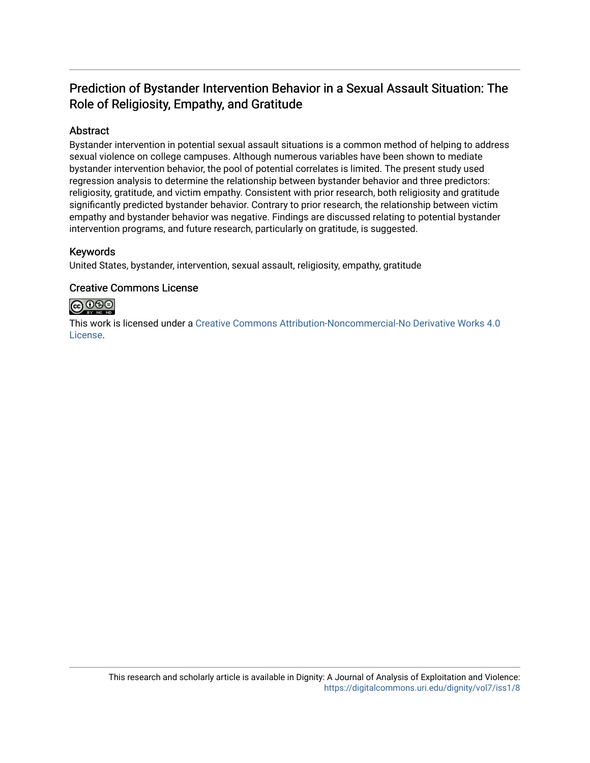## Prediction of Bystander Intervention Behavior in a Sexual Assault Situation: The Role of Religiosity, Empathy, and Gratitude

#### Abstract

Bystander intervention in potential sexual assault situations is a common method of helping to address sexual violence on college campuses. Although numerous variables have been shown to mediate bystander intervention behavior, the pool of potential correlates is limited. The present study used regression analysis to determine the relationship between bystander behavior and three predictors: religiosity, gratitude, and victim empathy. Consistent with prior research, both religiosity and gratitude significantly predicted bystander behavior. Contrary to prior research, the relationship between victim empathy and bystander behavior was negative. Findings are discussed relating to potential bystander intervention programs, and future research, particularly on gratitude, is suggested.

#### Keywords

United States, bystander, intervention, sexual assault, religiosity, empathy, gratitude

#### Creative Commons License



This work is licensed under a [Creative Commons Attribution-Noncommercial-No Derivative Works 4.0](https://creativecommons.org/licenses/by-nc-nd/4.0/) [License](https://creativecommons.org/licenses/by-nc-nd/4.0/).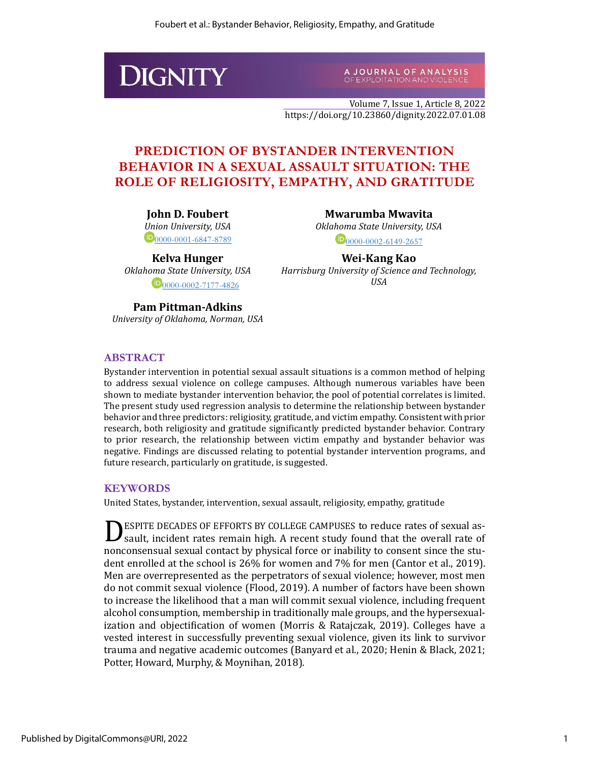# **DIGNITY**

A JOURNAL OF ANALYSIS<br>OFEXPLOITATION AND VIOLENCE

Volume 7, Issue 1, Article 8, 2022 https://doi.org/10.23860/dignity.2022.07.01.08

## **PREDICTION OF BYSTANDER INTERVENTION BEHAVIOR IN A SEXUAL ASSAULT SITUATION: THE ROLE OF RELIGIOSITY, EMPATHY, AND GRATITUDE**

**John D. Foubert** *Union University, USA*  $\mathbf{D}_{0000-0001-6847-8789}$  $\mathbf{D}_{0000-0001-6847-8789}$  $\mathbf{D}_{0000-0001-6847-8789}$ 

**Kelva Hunger** *Oklahoma State University, USA*  $\bigcirc$ [0000-0002-7177-4826](https://orcid.org/0000-0002-7177-4826)

**Mwarumba Mwavita** *Oklahoma State University, USA*  $D_{0000-0002-6149-2657}$  $D_{0000-0002-6149-2657}$  $D_{0000-0002-6149-2657}$ 

**Wei-Kang Kao** *Harrisburg University of Science and Technology, USA*

**Pam Pittman-Adkins** *University of Oklahoma, Norman, USA*

#### **ABSTRACT**

Bystander intervention in potential sexual assault situations is a common method of helping to address sexual violence on college campuses. Although numerous variables have been shown to mediate bystander intervention behavior, the pool of potential correlates is limited. The present study used regression analysis to determine the relationship between bystander behavior and three predictors: religiosity, gratitude, and victim empathy. Consistent with prior research, both religiosity and gratitude significantly predicted bystander behavior. Contrary to prior research, the relationship between victim empathy and bystander behavior was negative. Findings are discussed relating to potential bystander intervention programs, and future research, particularly on gratitude, is suggested.

#### **KEYWORDS**

United States, bystander, intervention, sexual assault, religiosity, empathy, gratitude

**DESPITE DECADES OF EFFORTS BY COLLEGE CAMPUSES to reduce rates of sexual as-**<br>Sault, incident rates remain high. A recent study found that the overall rate of sault, incident rates remain high. A recent study found that the overall rate of nonconsensual sexual contact by physical force or inability to consent since the student enrolled at the school is 26% for women and 7% for men (Cantor et al., 2019). Men are overrepresented as the perpetrators of sexual violence; however, most men do not commit sexual violence (Flood, 2019). A number of factors have been shown to increase the likelihood that a man will commit sexual violence, including frequent alcohol consumption, membership in traditionally male groups, and the hypersexualization and objectification of women (Morris & Ratajczak, 2019). Colleges have a vested interest in successfully preventing sexual violence, given its link to survivor trauma and negative academic outcomes (Banyard et al., 2020; Henin & Black, 2021; Potter, Howard, Murphy, & Moynihan, 2018).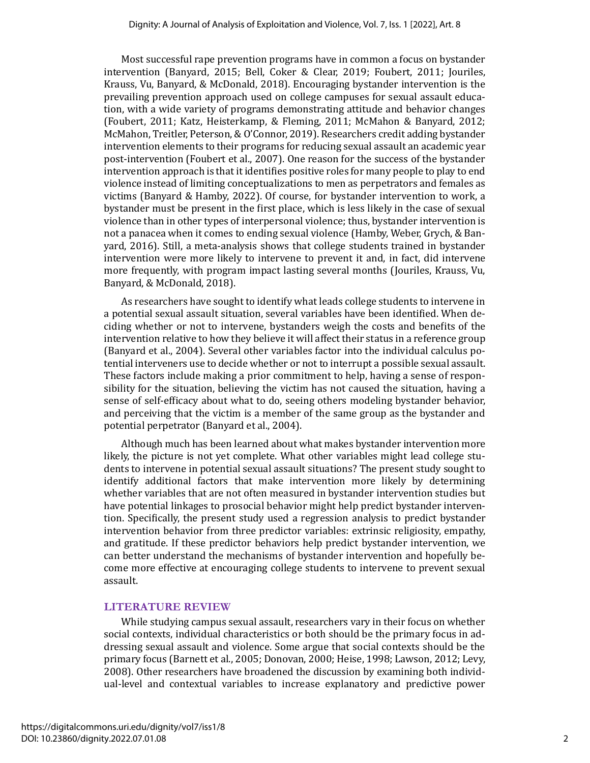Most successful rape prevention programs have in common a focus on bystander intervention (Banyard, 2015; Bell, Coker & Clear, 2019; Foubert, 2011; Jouriles, Krauss, Vu, Banyard, & McDonald, 2018). Encouraging bystander intervention is the prevailing prevention approach used on college campuses for sexual assault education, with a wide variety of programs demonstrating attitude and behavior changes (Foubert, 2011; Katz, Heisterkamp, & Fleming, 2011; McMahon & Banyard, 2012; McMahon, Treitler, Peterson, & O'Connor, 2019). Researchers credit adding bystander intervention elements to their programs for reducing sexual assault an academic year post-intervention (Foubert et al., 2007). One reason for the success of the bystander intervention approach is that it identifies positive roles for many people to play to end violence instead of limiting conceptualizations to men as perpetrators and females as victims (Banyard & Hamby, 2022). Of course, for bystander intervention to work, a bystander must be present in the first place, which is less likely in the case of sexual violence than in other types of interpersonal violence; thus, bystander intervention is not a panacea when it comes to ending sexual violence (Hamby, Weber, Grych, & Banyard, 2016). Still, a meta-analysis shows that college students trained in bystander intervention were more likely to intervene to prevent it and, in fact, did intervene more frequently, with program impact lasting several months (Jouriles, Krauss, Vu, Banyard, & McDonald, 2018).

As researchers have sought to identify what leads college students to intervene in a potential sexual assault situation, several variables have been identified. When deciding whether or not to intervene, bystanders weigh the costs and benefits of the intervention relative to how they believe it will affect their status in a reference group (Banyard et al., 2004). Several other variables factor into the individual calculus potential interveners use to decide whether or not to interrupt a possible sexual assault. These factors include making a prior commitment to help, having a sense of responsibility for the situation, believing the victim has not caused the situation, having a sense of self-efficacy about what to do, seeing others modeling bystander behavior, and perceiving that the victim is a member of the same group as the bystander and potential perpetrator (Banyard et al., 2004).

Although much has been learned about what makes bystander intervention more likely, the picture is not yet complete. What other variables might lead college students to intervene in potential sexual assault situations? The present study sought to identify additional factors that make intervention more likely by determining whether variables that are not often measured in bystander intervention studies but have potential linkages to prosocial behavior might help predict bystander intervention. Specifically, the present study used a regression analysis to predict bystander intervention behavior from three predictor variables: extrinsic religiosity, empathy, and gratitude. If these predictor behaviors help predict bystander intervention, we can better understand the mechanisms of bystander intervention and hopefully become more effective at encouraging college students to intervene to prevent sexual assault.

#### **LITERATURE REVIEW**

While studying campus sexual assault, researchers vary in their focus on whether social contexts, individual characteristics or both should be the primary focus in addressing sexual assault and violence. Some argue that social contexts should be the primary focus (Barnett et al., 2005; Donovan, 2000; Heise, 1998; Lawson, 2012; Levy, 2008). Other researchers have broadened the discussion by examining both individual-level and contextual variables to increase explanatory and predictive power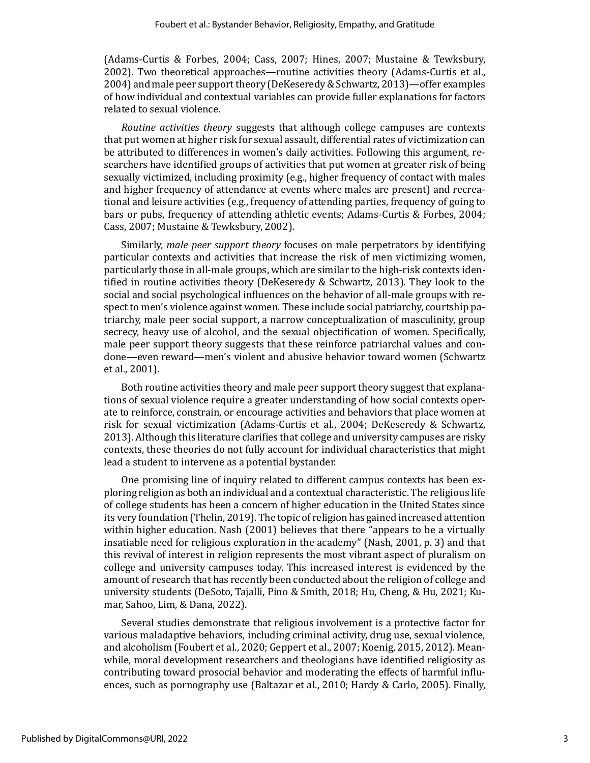(Adams-Curtis & Forbes, 2004; Cass, 2007; Hines, 2007; Mustaine & Tewksbury, 2002). Two theoretical approaches—routine activities theory (Adams-Curtis et al., 2004) and male peer support theory (DeKeseredy & Schwartz, 2013)—offer examples of how individual and contextual variables can provide fuller explanations for factors related to sexual violence.

*Routine activities theory* suggests that although college campuses are contexts that put women at higher risk for sexual assault, differential rates of victimization can be attributed to differences in women's daily activities. Following this argument, researchers have identified groups of activities that put women at greater risk of being sexually victimized, including proximity (e.g., higher frequency of contact with males and higher frequency of attendance at events where males are present) and recreational and leisure activities (e.g., frequency of attending parties, frequency of going to bars or pubs, frequency of attending athletic events; Adams-Curtis & Forbes, 2004; Cass, 2007; Mustaine & Tewksbury, 2002).

Similarly, *male peer support theory* focuses on male perpetrators by identifying particular contexts and activities that increase the risk of men victimizing women, particularly those in all-male groups, which are similar to the high-risk contexts identified in routine activities theory (DeKeseredy & Schwartz, 2013). They look to the social and social psychological influences on the behavior of all-male groups with respect to men's violence against women. These include social patriarchy, courtship patriarchy, male peer social support, a narrow conceptualization of masculinity, group secrecy, heavy use of alcohol, and the sexual objectification of women. Specifically, male peer support theory suggests that these reinforce patriarchal values and condone—even reward—men's violent and abusive behavior toward women (Schwartz et al., 2001).

Both routine activities theory and male peer support theory suggest that explanations of sexual violence require a greater understanding of how social contexts operate to reinforce, constrain, or encourage activities and behaviors that place women at risk for sexual victimization (Adams-Curtis et al., 2004; DeKeseredy & Schwartz, 2013). Although this literature clarifies that college and university campuses are risky contexts, these theories do not fully account for individual characteristics that might lead a student to intervene as a potential bystander.

One promising line of inquiry related to different campus contexts has been exploring religion as both an individual and a contextual characteristic. The religious life of college students has been a concern of higher education in the United States since its very foundation (Thelin, 2019). The topic of religion has gained increased attention within higher education. Nash (2001) believes that there "appears to be a virtually insatiable need for religious exploration in the academy" (Nash, 2001, p. 3) and that this revival of interest in religion represents the most vibrant aspect of pluralism on college and university campuses today. This increased interest is evidenced by the amount of research that has recently been conducted about the religion of college and university students (DeSoto, Tajalli, Pino & Smith, 2018; Hu, Cheng, & Hu, 2021; Kumar, Sahoo, Lim, & Dana, 2022).

Several studies demonstrate that religious involvement is a protective factor for various maladaptive behaviors, including criminal activity, drug use, sexual violence, and alcoholism (Foubert et al., 2020; Geppert et al., 2007; Koenig, 2015, 2012). Meanwhile, moral development researchers and theologians have identified religiosity as contributing toward prosocial behavior and moderating the effects of harmful influences, such as pornography use (Baltazar et al., 2010; Hardy & Carlo, 2005). Finally,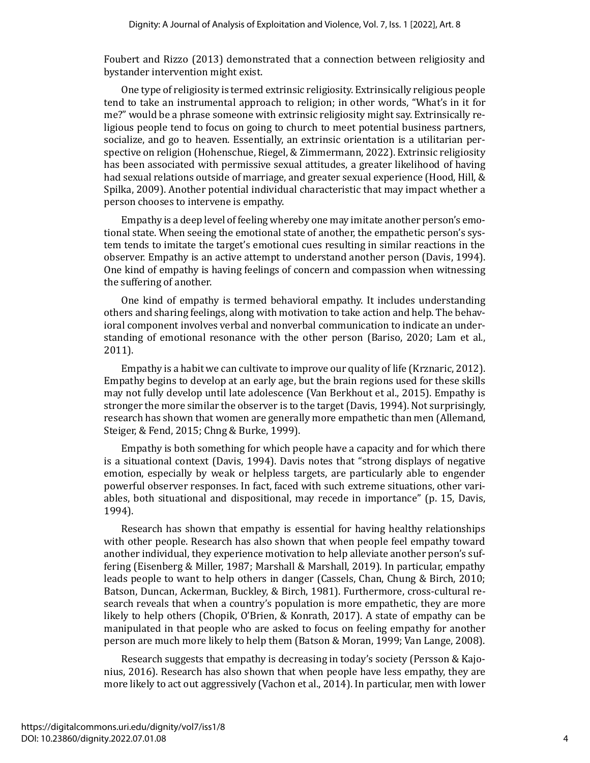Foubert and Rizzo (2013) demonstrated that a connection between religiosity and bystander intervention might exist.

One type of religiosity is termed extrinsic religiosity. Extrinsically religious people tend to take an instrumental approach to religion; in other words, "What's in it for me?" would be a phrase someone with extrinsic religiosity might say. Extrinsically religious people tend to focus on going to church to meet potential business partners, socialize, and go to heaven. Essentially, an extrinsic orientation is a utilitarian perspective on religion (Hohenschue, Riegel, & Zimmermann, 2022). Extrinsic religiosity has been associated with permissive sexual attitudes, a greater likelihood of having had sexual relations outside of marriage, and greater sexual experience (Hood, Hill, & Spilka, 2009). Another potential individual characteristic that may impact whether a person chooses to intervene is empathy.

Empathy is a deep level of feeling whereby one may imitate another person's emotional state. When seeing the emotional state of another, the empathetic person's system tends to imitate the target's emotional cues resulting in similar reactions in the observer. Empathy is an active attempt to understand another person (Davis, 1994). One kind of empathy is having feelings of concern and compassion when witnessing the suffering of another.

One kind of empathy is termed behavioral empathy. It includes understanding others and sharing feelings, along with motivation to take action and help. The behavioral component involves verbal and nonverbal communication to indicate an understanding of emotional resonance with the other person (Bariso, 2020; Lam et al., 2011).

Empathy is a habit we can cultivate to improve our quality of life (Krznaric, 2012). Empathy begins to develop at an early age, but the brain regions used for these skills may not fully develop until late adolescence (Van Berkhout et al., 2015). Empathy is stronger the more similar the observer is to the target (Davis, 1994). Not surprisingly, research has shown that women are generally more empathetic than men (Allemand, Steiger, & Fend, 2015; Chng & Burke, 1999).

Empathy is both something for which people have a capacity and for which there is a situational context (Davis, 1994). Davis notes that "strong displays of negative emotion, especially by weak or helpless targets, are particularly able to engender powerful observer responses. In fact, faced with such extreme situations, other variables, both situational and dispositional, may recede in importance" (p. 15, Davis, 1994).

Research has shown that empathy is essential for having healthy relationships with other people. Research has also shown that when people feel empathy toward another individual, they experience motivation to help alleviate another person's suffering (Eisenberg & Miller, 1987; Marshall & Marshall, 2019). In particular, empathy leads people to want to help others in danger (Cassels, Chan, Chung & Birch, 2010; Batson, Duncan, Ackerman, Buckley, & Birch, 1981). Furthermore, cross-cultural research reveals that when a country's population is more empathetic, they are more likely to help others (Chopik, O'Brien, & Konrath, 2017). A state of empathy can be manipulated in that people who are asked to focus on feeling empathy for another person are much more likely to help them (Batson & Moran, 1999; Van Lange, 2008).

Research suggests that empathy is decreasing in today's society (Persson & Kajonius, 2016). Research has also shown that when people have less empathy, they are more likely to act out aggressively (Vachon et al., 2014). In particular, men with lower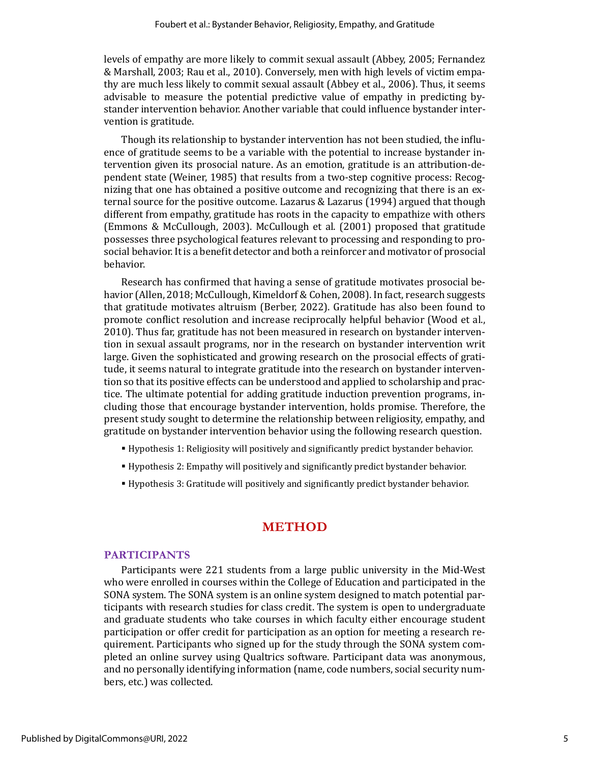levels of empathy are more likely to commit sexual assault (Abbey, 2005; Fernandez & Marshall, 2003; Rau et al., 2010). Conversely, men with high levels of victim empathy are much less likely to commit sexual assault (Abbey et al., 2006). Thus, it seems advisable to measure the potential predictive value of empathy in predicting bystander intervention behavior. Another variable that could influence bystander intervention is gratitude.

Though its relationship to bystander intervention has not been studied, the influence of gratitude seems to be a variable with the potential to increase bystander intervention given its prosocial nature. As an emotion, gratitude is an attribution-dependent state (Weiner, 1985) that results from a two-step cognitive process: Recognizing that one has obtained a positive outcome and recognizing that there is an external source for the positive outcome. Lazarus & Lazarus (1994) argued that though different from empathy, gratitude has roots in the capacity to empathize with others (Emmons & McCullough, 2003). McCullough et al. (2001) proposed that gratitude possesses three psychological features relevant to processing and responding to prosocial behavior. It is a benefit detector and both a reinforcer and motivator of prosocial behavior.

Research has confirmed that having a sense of gratitude motivates prosocial behavior (Allen, 2018; McCullough, Kimeldorf & Cohen, 2008). In fact, research suggests that gratitude motivates altruism (Berber, 2022). Gratitude has also been found to promote conflict resolution and increase reciprocally helpful behavior (Wood et al., 2010). Thus far, gratitude has not been measured in research on bystander intervention in sexual assault programs, nor in the research on bystander intervention writ large. Given the sophisticated and growing research on the prosocial effects of gratitude, it seems natural to integrate gratitude into the research on bystander intervention so that its positive effects can be understood and applied to scholarship and practice. The ultimate potential for adding gratitude induction prevention programs, including those that encourage bystander intervention, holds promise. Therefore, the present study sought to determine the relationship between religiosity, empathy, and gratitude on bystander intervention behavior using the following research question.

- Hypothesis 1: Religiosity will positively and significantly predict bystander behavior.
- Hypothesis 2: Empathy will positively and significantly predict bystander behavior.
- Hypothesis 3: Gratitude will positively and significantly predict bystander behavior.

#### **METHOD**

#### **PARTICIPANTS**

Participants were 221 students from a large public university in the Mid-West who were enrolled in courses within the College of Education and participated in the SONA system. The SONA system is an online system designed to match potential participants with research studies for class credit. The system is open to undergraduate and graduate students who take courses in which faculty either encourage student participation or offer credit for participation as an option for meeting a research requirement. Participants who signed up for the study through the SONA system completed an online survey using Qualtrics software. Participant data was anonymous, and no personally identifying information (name, code numbers, social security numbers, etc.) was collected.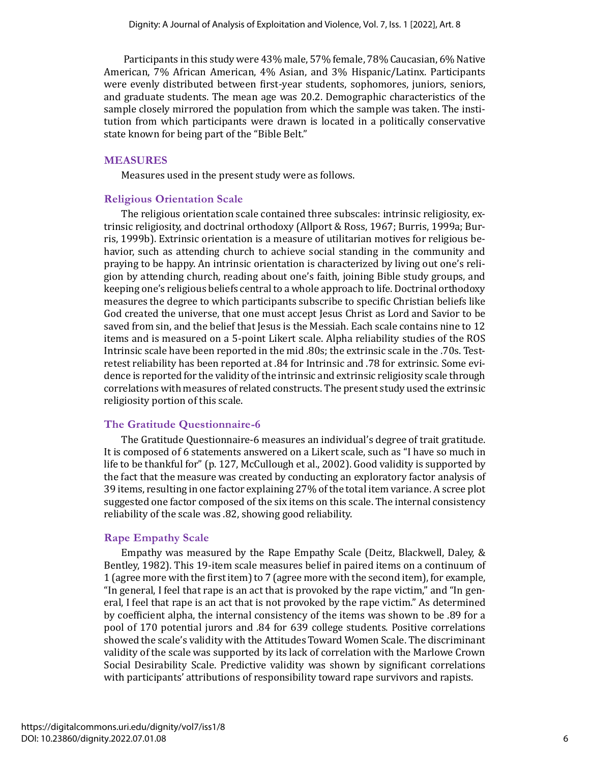Participants in this study were 43% male, 57% female, 78% Caucasian, 6% Native American, 7% African American, 4% Asian, and 3% Hispanic/Latinx. Participants were evenly distributed between first-year students, sophomores, juniors, seniors, and graduate students. The mean age was 20.2. Demographic characteristics of the sample closely mirrored the population from which the sample was taken. The institution from which participants were drawn is located in a politically conservative state known for being part of the "Bible Belt."

#### **MEASURES**

Measures used in the present study were as follows.

#### **Religious Orientation Scale**

The religious orientation scale contained three subscales: intrinsic religiosity, extrinsic religiosity, and doctrinal orthodoxy (Allport & Ross, 1967; Burris, 1999a; Burris, 1999b). Extrinsic orientation is a measure of utilitarian motives for religious behavior, such as attending church to achieve social standing in the community and praying to be happy. An intrinsic orientation is characterized by living out one's religion by attending church, reading about one's faith, joining Bible study groups, and keeping one's religious beliefs central to a whole approach to life. Doctrinal orthodoxy measures the degree to which participants subscribe to specific Christian beliefs like God created the universe, that one must accept Jesus Christ as Lord and Savior to be saved from sin, and the belief that Jesus is the Messiah. Each scale contains nine to 12 items and is measured on a 5-point Likert scale. Alpha reliability studies of the ROS Intrinsic scale have been reported in the mid .80s; the extrinsic scale in the .70s. Testretest reliability has been reported at .84 for Intrinsic and .78 for extrinsic. Some evidence is reported for the validity of the intrinsic and extrinsic religiosity scale through correlations with measures of related constructs. The present study used the extrinsic religiosity portion of this scale.

#### **The Gratitude Questionnaire-6**

The Gratitude Questionnaire-6 measures an individual's degree of trait gratitude. It is composed of 6 statements answered on a Likert scale, such as "I have so much in life to be thankful for" (p. 127, McCullough et al., 2002). Good validity is supported by the fact that the measure was created by conducting an exploratory factor analysis of 39 items, resulting in one factor explaining 27% of the total item variance. A scree plot suggested one factor composed of the six items on this scale. The internal consistency reliability of the scale was .82, showing good reliability.

#### **Rape Empathy Scale**

Empathy was measured by the Rape Empathy Scale (Deitz, Blackwell, Daley, & Bentley, 1982). This 19-item scale measures belief in paired items on a continuum of 1 (agree more with the first item) to 7 (agree more with the second item), for example, "In general, I feel that rape is an act that is provoked by the rape victim," and "In general, I feel that rape is an act that is not provoked by the rape victim." As determined by coefficient alpha, the internal consistency of the items was shown to be .89 for a pool of 170 potential jurors and .84 for 639 college students. Positive correlations showed the scale's validity with the Attitudes Toward Women Scale. The discriminant validity of the scale was supported by its lack of correlation with the Marlowe Crown Social Desirability Scale. Predictive validity was shown by significant correlations with participants' attributions of responsibility toward rape survivors and rapists.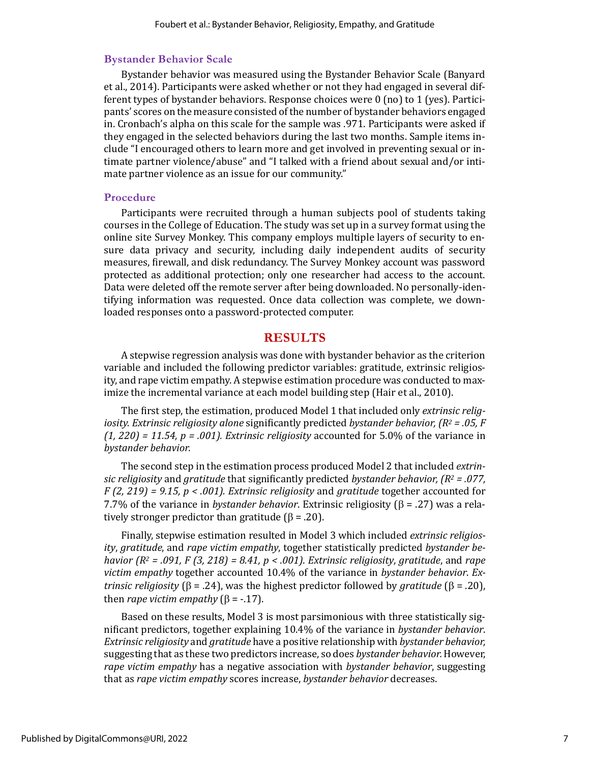#### **Bystander Behavior Scale**

Bystander behavior was measured using the Bystander Behavior Scale (Banyard et al., 2014). Participants were asked whether or not they had engaged in several different types of bystander behaviors. Response choices were 0 (no) to 1 (yes). Participants' scores on the measure consisted of the number of bystander behaviors engaged in. Cronbach's alpha on this scale for the sample was .971. Participants were asked if they engaged in the selected behaviors during the last two months. Sample items include "I encouraged others to learn more and get involved in preventing sexual or intimate partner violence/abuse" and "I talked with a friend about sexual and/or intimate partner violence as an issue for our community."

#### **Procedure**

Participants were recruited through a human subjects pool of students taking courses in the College of Education. The study was set up in a survey format using the online site Survey Monkey. This company employs multiple layers of security to ensure data privacy and security, including daily independent audits of security measures, firewall, and disk redundancy. The Survey Monkey account was password protected as additional protection; only one researcher had access to the account. Data were deleted off the remote server after being downloaded. No personally-identifying information was requested. Once data collection was complete, we downloaded responses onto a password-protected computer.

#### **RESULTS**

A stepwise regression analysis was done with bystander behavior as the criterion variable and included the following predictor variables: gratitude, extrinsic religiosity, and rape victim empathy. A stepwise estimation procedure was conducted to maximize the incremental variance at each model building step (Hair et al., 2010).

The first step, the estimation, produced Model 1 that included only *extrinsic religiosity. Extrinsic religiosity alone* significantly predicted *bystander behavior, (R<sup>2</sup> = .05, F (1, 220) = 11.54, p = .001). Extrinsic religiosity* accounted for 5.0% of the variance in *bystander behavior.* 

The second step in the estimation process produced Model 2 that included *extrinsic religiosity* and *gratitude* that significantly predicted *bystander behavior, (R<sup>2</sup> = .077, F (2, 219) = 9.15, p < .001). Extrinsic religiosity* and *gratitude* together accounted for 7.7% of the variance in *bystander behavior*. Extrinsic religiosity ( $\beta$  = .27) was a relatively stronger predictor than gratitude ( $\beta$  = .20).

Finally, stepwise estimation resulted in Model 3 which included *extrinsic religiosity*, *gratitude*, and *rape victim empathy*, together statistically predicted *bystander behavior (R<sup>2</sup> = .091, F (3, 218) = 8.41, p < .001). Extrinsic religiosity*, *gratitude*, and *rape victim empathy* together accounted 10.4% of the variance in *bystander behavior*. *Extrinsic religiosity* ( $\beta = .24$ ), was the highest predictor followed by *gratitude* ( $\beta = .20$ ), then *rape victim empathy*  $(\beta = -17)$ .

Based on these results, Model 3 is most parsimonious with three statistically significant predictors, together explaining 10.4% of the variance in *bystander behavior*. *Extrinsic religiosity* and *gratitude* have a positive relationship with *bystander behavior,* suggesting that as these two predictors increase, so does *bystander behavior.* However, *rape victim empathy* has a negative association with *bystander behavior*, suggesting that as *rape victim empathy* scores increase, *bystander behavior* decreases.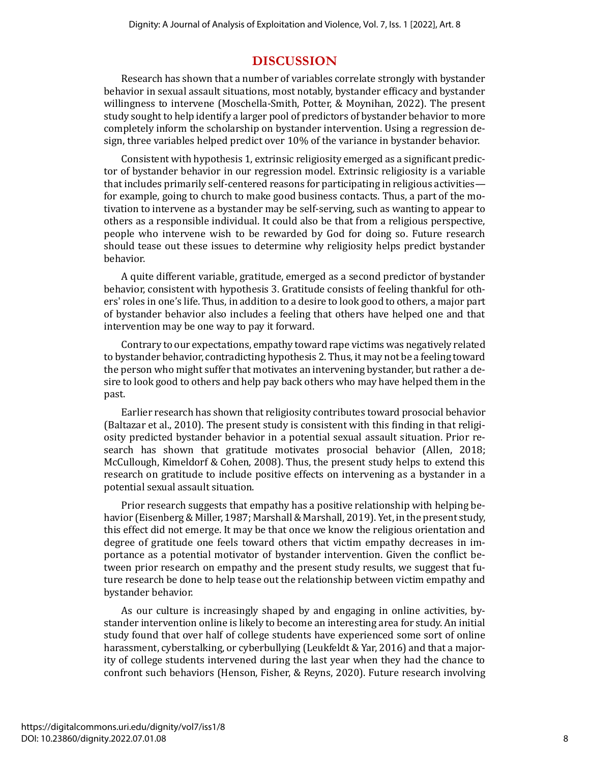#### **DISCUSSION**

Research has shown that a number of variables correlate strongly with bystander behavior in sexual assault situations, most notably, bystander efficacy and bystander willingness to intervene (Moschella-Smith, Potter, & Moynihan, 2022). The present study sought to help identify a larger pool of predictors of bystander behavior to more completely inform the scholarship on bystander intervention. Using a regression design, three variables helped predict over 10% of the variance in bystander behavior.

Consistent with hypothesis 1, extrinsic religiosity emerged as a significant predictor of bystander behavior in our regression model. Extrinsic religiosity is a variable that includes primarily self-centered reasons for participating in religious activities for example, going to church to make good business contacts. Thus, a part of the motivation to intervene as a bystander may be self-serving, such as wanting to appear to others as a responsible individual. It could also be that from a religious perspective, people who intervene wish to be rewarded by God for doing so. Future research should tease out these issues to determine why religiosity helps predict bystander behavior.

A quite different variable, gratitude, emerged as a second predictor of bystander behavior, consistent with hypothesis 3. Gratitude consists of feeling thankful for others' roles in one's life. Thus, in addition to a desire to look good to others, a major part of bystander behavior also includes a feeling that others have helped one and that intervention may be one way to pay it forward.

Contrary to our expectations, empathy toward rape victims was negatively related to bystander behavior, contradicting hypothesis 2. Thus, it may not be a feeling toward the person who might suffer that motivates an intervening bystander, but rather a desire to look good to others and help pay back others who may have helped them in the past.

Earlier research has shown that religiosity contributes toward prosocial behavior (Baltazar et al., 2010). The present study is consistent with this finding in that religiosity predicted bystander behavior in a potential sexual assault situation. Prior research has shown that gratitude motivates prosocial behavior (Allen, 2018; McCullough, Kimeldorf & Cohen, 2008). Thus, the present study helps to extend this research on gratitude to include positive effects on intervening as a bystander in a potential sexual assault situation.

Prior research suggests that empathy has a positive relationship with helping behavior (Eisenberg & Miller, 1987; Marshall & Marshall, 2019). Yet, in the present study, this effect did not emerge. It may be that once we know the religious orientation and degree of gratitude one feels toward others that victim empathy decreases in importance as a potential motivator of bystander intervention. Given the conflict between prior research on empathy and the present study results, we suggest that future research be done to help tease out the relationship between victim empathy and bystander behavior.

As our culture is increasingly shaped by and engaging in online activities, bystander intervention online is likely to become an interesting area for study. An initial study found that over half of college students have experienced some sort of online harassment, cyberstalking, or cyberbullying (Leukfeldt & Yar, 2016) and that a majority of college students intervened during the last year when they had the chance to confront such behaviors (Henson, Fisher, & Reyns, 2020). Future research involving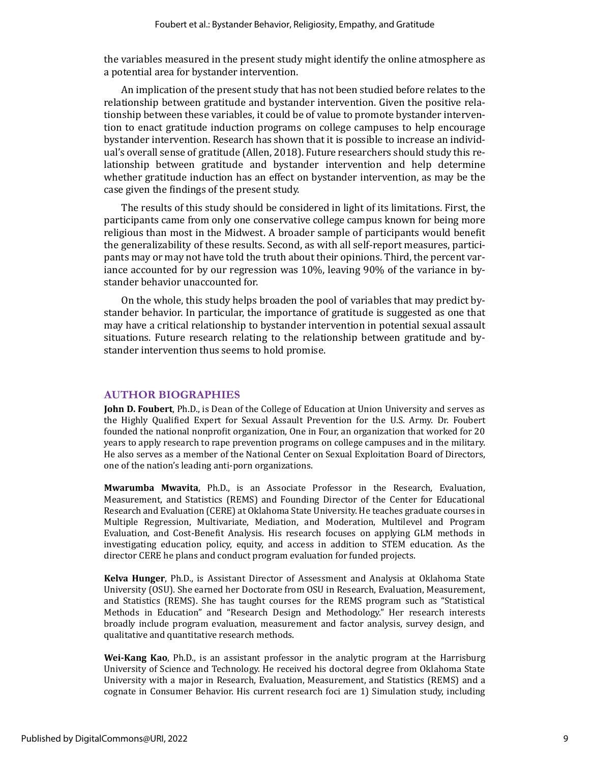the variables measured in the present study might identify the online atmosphere as a potential area for bystander intervention.

An implication of the present study that has not been studied before relates to the relationship between gratitude and bystander intervention. Given the positive relationship between these variables, it could be of value to promote bystander intervention to enact gratitude induction programs on college campuses to help encourage bystander intervention. Research has shown that it is possible to increase an individual's overall sense of gratitude (Allen, 2018). Future researchers should study this relationship between gratitude and bystander intervention and help determine whether gratitude induction has an effect on bystander intervention, as may be the case given the findings of the present study.

The results of this study should be considered in light of its limitations. First, the participants came from only one conservative college campus known for being more religious than most in the Midwest. A broader sample of participants would benefit the generalizability of these results. Second, as with all self-report measures, participants may or may not have told the truth about their opinions. Third, the percent variance accounted for by our regression was 10%, leaving 90% of the variance in bystander behavior unaccounted for.

On the whole, this study helps broaden the pool of variables that may predict bystander behavior. In particular, the importance of gratitude is suggested as one that may have a critical relationship to bystander intervention in potential sexual assault situations. Future research relating to the relationship between gratitude and bystander intervention thus seems to hold promise.

#### **AUTHOR BIOGRAPHIES**

**John D. Foubert**, Ph.D., is Dean of the College of Education at Union University and serves as the Highly Qualified Expert for Sexual Assault Prevention for the U.S. Army. Dr. Foubert founded the national nonprofit organization, One in Four, an organization that worked for 20 years to apply research to rape prevention programs on college campuses and in the military. He also serves as a member of the National Center on Sexual Exploitation Board of Directors, one of the nation's leading anti-porn organizations.

**Mwarumba Mwavita**, Ph.D., is an Associate Professor in the Research, Evaluation, Measurement, and Statistics (REMS) and Founding Director of the Center for Educational Research and Evaluation (CERE) at Oklahoma State University. He teaches graduate courses in Multiple Regression, Multivariate, Mediation, and Moderation, Multilevel and Program Evaluation, and Cost-Benefit Analysis. His research focuses on applying GLM methods in investigating education policy, equity, and access in addition to STEM education. As the director CERE he plans and conduct program evaluation for funded projects.

**Kelva Hunger**, Ph.D., is Assistant Director of Assessment and Analysis at Oklahoma State University (OSU). She earned her Doctorate from OSU in Research, Evaluation, Measurement, and Statistics (REMS). She has taught courses for the REMS program such as "Statistical Methods in Education" and "Research Design and Methodology." Her research interests broadly include program evaluation, measurement and factor analysis, survey design, and qualitative and quantitative research methods.

**Wei-Kang Kao**, Ph.D., is an assistant professor in the analytic program at the Harrisburg University of Science and Technology. He received his doctoral degree from Oklahoma State University with a major in Research, Evaluation, Measurement, and Statistics (REMS) and a cognate in Consumer Behavior. His current research foci are 1) Simulation study, including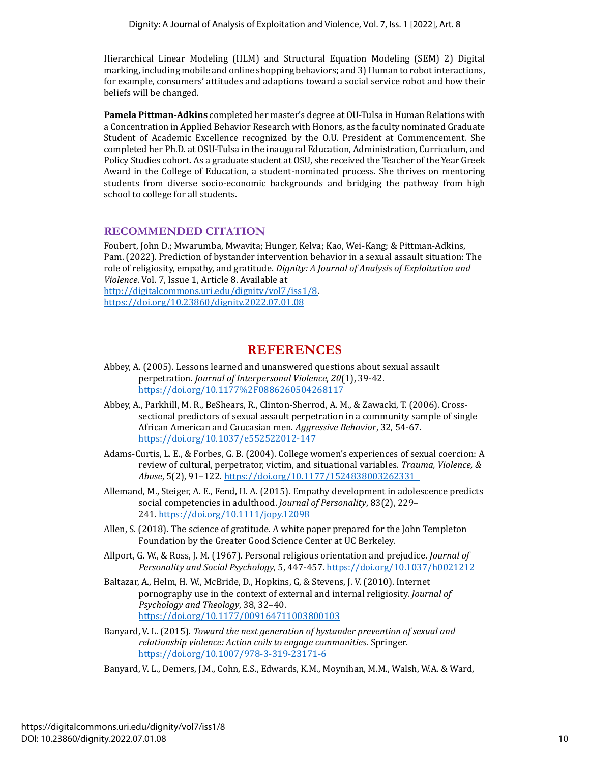Hierarchical Linear Modeling (HLM) and Structural Equation Modeling (SEM) 2) Digital marking, including mobile and online shopping behaviors; and 3) Human to robot interactions, for example, consumers' attitudes and adaptions toward a social service robot and how their beliefs will be changed.

**Pamela Pittman-Adkins** completed her master's degree at OU-Tulsa in Human Relations with a Concentration in Applied Behavior Research with Honors, as the faculty nominated Graduate Student of Academic Excellence recognized by the O.U. President at Commencement. She completed her Ph.D. at OSU-Tulsa in the inaugural Education, Administration, Curriculum, and Policy Studies cohort. As a graduate student at OSU, she received the Teacher of the Year Greek Award in the College of Education, a student-nominated process. She thrives on mentoring students from diverse socio-economic backgrounds and bridging the pathway from high school to college for all students.

#### **RECOMMENDED CITATION**

Foubert, John D.; Mwarumba, Mwavita; Hunger, Kelva; Kao, Wei-Kang; & Pittman-Adkins, Pam. (2022). Prediction of bystander intervention behavior in a sexual assault situation: The role of religiosity, empathy, and gratitude. *Dignity: A Journal of Analysis of Exploitation and Violence*. Vol. 7, Issue 1, Article 8. Available at [http://digitalcommons.uri.edu/dignity/vol7/iss1/8.](http://digitalcommons.uri.edu/dignity/vol7/iss1/8) <https://doi.org/10.23860/dignity.2022.07.01.08>

### **REFERENCES**

- Abbey, A. (2005). Lessons learned and unanswered questions about sexual assault perpetration. *Journal of Interpersonal Violence, 20*(1), 39-42. <https://doi.org/10.1177%2F0886260504268117>
- Abbey, A., Parkhill, M. R., BeShears, R., Clinton-Sherrod, A. M., & Zawacki, T. (2006). Crosssectional predictors of sexual assault perpetration in a community sample of single African American and Caucasian men. *Aggressive Behavior*, 32, 54-67. [https://doi.org/10.1037/e552522012-147](https://doi.org/10.1037/e552522012-147%20%20%20%20 )
- Adams-Curtis, L. E., & Forbes, G. B. (2004). College women's experiences of sexual coercion: A review of cultural, perpetrator, victim, and situational variables. *Trauma, Violence, & Abuse*, 5(2), 91–122. [https://doi.org/10.1177/1524838003262331](https://doi.org/10.1177/1524838003262331%20 )
- Allemand, M., Steiger, A. E., Fend, H. A. (2015). Empathy development in adolescence predicts social competencies in adulthood. *Journal of Personality*, 83(2), 229– 241. [https://doi.org/10.1111/jopy.12098](https://doi.org/10.1111/jopy.12098%20 )
- Allen, S. (2018). The science of gratitude. A white paper prepared for the John Templeton Foundation by the Greater Good Science Center at UC Berkeley.
- Allport, G. W., & Ross, J. M. (1967). Personal religious orientation and prejudice. *Journal of Personality and Social Psychology*, 5, 447-457[. https://doi.org/10.1037/h0021212](https://doi.org/10.1037/h0021212)
- Baltazar, A., Helm, H. W., McBride, D., Hopkins, G, & Stevens, J. V. (2010). Internet pornography use in the context of external and internal religiosity. *Journal of Psychology and Theology*, 38, 32–40. <https://doi.org/10.1177/009164711003800103>
- Banyard, V. L. (2015). *Toward the next generation of bystander prevention of sexual and relationship violence: Action coils to engage communities*. Springer. <https://doi.org/10.1007/978-3-319-23171-6>
- Banyard, V. L., Demers, J.M., Cohn, E.S., Edwards, K.M., Moynihan, M.M., Walsh, W.A. & Ward,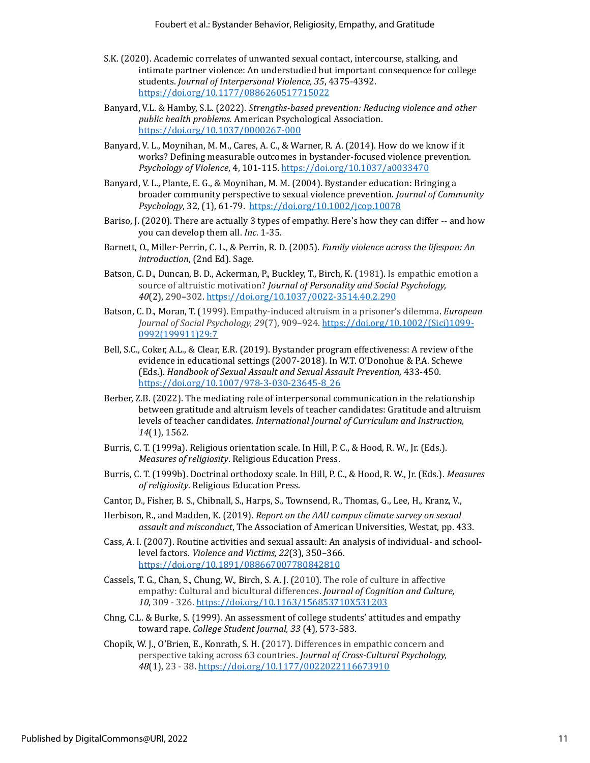- S.K. (2020). Academic correlates of unwanted sexual contact, intercourse, stalking, and intimate partner violence: An understudied but important consequence for college students. *Journal of Interpersonal Violence, 35*, 4375-4392. <https://doi.org/10.1177/0886260517715022>
- Banyard, V.L. & Hamby, S.L. (2022). *Strengths-based prevention: Reducing violence and other public health problems.* American Psychological Association. https://doi.org/10.1037/0000267-000
- Banyard, V. L., Moynihan, M. M., Cares, A. C., & Warner, R. A. (2014). How do we know if it works? Defining measurable outcomes in bystander-focused violence prevention. *Psychology of Violence*, 4, 101-115[. https://doi.org/10.1037/a0033470](https://doi.org/10.1037/a0033470)
- Banyard, V. L., Plante, E. G., & Moynihan, M. M. (2004). Bystander education: Bringing a broader community perspective to sexual violence prevention. *Journal of Community Psychology*, 32, (1), 61-79.<https://doi.org/10.1002/jcop.10078>
- Bariso, J. (2020). There are actually 3 types of empathy. Here's how they can differ -- and how you can develop them all. *Inc.* 1-35.
- Barnett, O., Miller-Perrin, C. L., & Perrin, R. D. (2005). *Family violence across the lifespan: An introduction*, (2nd Ed). Sage.
- Batson, C. D., Duncan, B. D., Ackerman, P., Buckley, T., Birch, K. (1981). Is empathic emotion a source of altruistic motivation? *Journal of Personality and Social Psychology, 40*(2), 290–302. <https://doi.org/10.1037/0022-3514.40.2.290>
- Batson, C. D., Moran, T. (1999). Empathy-induced altruism in a prisoner's dilemma. *European Journal of Social Psychology, 29*(7), 909–924. [https://doi.org/10.1002/\(Sici\)1099-](https://doi.org/10.1002/(Sici)1099-0992(199911)29:7) [0992\(199911\)29:7](https://doi.org/10.1002/(Sici)1099-0992(199911)29:7)
- Bell, S.C., Coker, A.L., & Clear, E.R. (2019). Bystander program effectiveness: A review of the evidence in educational settings (2007-2018). In W.T. O'Donohue & P.A. Schewe (Eds.). *Handbook of Sexual Assault and Sexual Assault Prevention,* 433-450. https://doi.org/10.1007/978-3-030-23645-8\_26
- Berber, Z.B. (2022). The mediating role of interpersonal communication in the relationship between gratitude and altruism levels of teacher candidates: Gratitude and altruism levels of teacher candidates. *International Journal of Curriculum and Instruction, 14*(1), 1562.
- Burris, C. T. (1999a). Religious orientation scale. In Hill, P. C., & Hood, R. W., Jr. (Eds.). *Measures of religiosity*. Religious Education Press.
- Burris, C. T. (1999b). Doctrinal orthodoxy scale. In Hill, P. C., & Hood, R. W., Jr. (Eds.). *Measures of religiosity*. Religious Education Press.
- Cantor, D., Fisher, B. S., Chibnall, S., Harps, S., Townsend, R., Thomas, G., Lee, H., Kranz, V.,
- Herbison, R., and Madden, K. (2019). *Report on the AAU campus climate survey on sexual assault and misconduct*, The Association of American Universities, Westat, pp. 433.
- Cass, A. I. (2007). Routine activities and sexual assault: An analysis of individual- and schoollevel factors. *Violence and Victims, 22*(3), 350–366. https://doi.org/10.1891/088667007780842810
- Cassels, T. G., Chan, S., Chung, W., Birch, S. A. J. (2010). The role of culture in affective empathy: Cultural and bicultural differences. *Journal of Cognition and Culture, 10*, 309 - 326.<https://doi.org/10.1163/156853710X531203>
- Chng, C.L. & Burke, S. (1999). An assessment of college students' attitudes and empathy toward rape. *College Student Journal, 33* (4), 573-583.
- Chopik, W. J., O'Brien, E., Konrath, S. H. (2017). Differences in empathic concern and perspective taking across 63 countries. *Journal of Cross-Cultural Psychology, 48*(1), 23 - 38.<https://doi.org/10.1177/0022022116673910>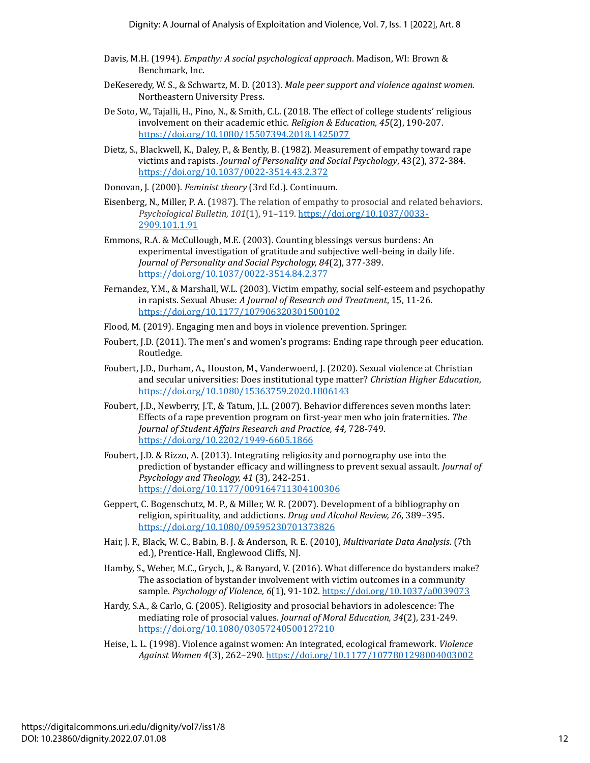- Davis, M.H. (1994). *Empathy: A social psychological approach*. Madison, WI: Brown & Benchmark, Inc.
- DeKeseredy, W. S., & Schwartz, M. D. (2013). *Male peer support and violence against women.* Northeastern University Press.
- De Soto, W., Tajalli, H., Pino, N., & Smith, C.L. (2018. The effect of college students' religious involvement on their academic ethic. *Religion & Education, 45*(2), 190-207. https://doi.org/10.1080/15507394.2018.1425077
- Dietz, S., Blackwell, K., Daley, P., & Bently, B. (1982). Measurement of empathy toward rape victims and rapists. *Journal of Personality and Social Psychology*, 43(2), 372-384. https://doi.org/10.1037/0022-3514.43.2.372
- Donovan, J. (2000). *Feminist theory* (3rd Ed.). Continuum.
- Eisenberg, N., Miller, P. A. (1987). The relation of empathy to prosocial and related behaviors. *Psychological Bulletin, 101*(1), 91–119. [https://doi.org/10.1037/0033-](https://doi.org/10.1037/0033-2909.101.1.91) [2909.101.1.91](https://doi.org/10.1037/0033-2909.101.1.91)
- Emmons, R.A. & McCullough, M.E. (2003). Counting blessings versus burdens: An experimental investigation of gratitude and subjective well-being in daily life. *Journal of Personality and Social Psychology, 84*(2), 377-389. https://doi.org/10.1037/0022-3514.84.2.377
- Fernandez, Y.M., & Marshall, W.L. (2003). Victim empathy, social self-esteem and psychopathy in rapists. Sexual Abuse: *A Journal of Research and Treatment*, 15, 11-26. https://doi.org/10.1177/107906320301500102
- Flood, M. (2019). Engaging men and boys in violence prevention. Springer.
- Foubert, J.D. (2011). The men's and women's programs: Ending rape through peer education. Routledge.
- Foubert, J.D., Durham, A., Houston, M., Vanderwoerd, J. (2020). Sexual violence at Christian and secular universities: Does institutional type matter? *Christian Higher Education*, <https://doi.org/10.1080/15363759.2020.1806143>
- Foubert, J.D., Newberry, J.T., & Tatum, J.L. (2007). Behavior differences seven months later: Effects of a rape prevention program on first-year men who join fraternities. *The Journal of Student Affairs Research and Practice, 44,* 728-749. https://doi.org/10.2202/1949-6605.1866
- Foubert, J.D. & Rizzo, A. (2013). Integrating religiosity and pornography use into the prediction of bystander efficacy and willingness to prevent sexual assault. *Journal of Psychology and Theology, 41* (3), 242-251. https://doi.org/10.1177/009164711304100306
- Geppert, C. Bogenschutz, M. P., & Miller, W. R. (2007). Development of a bibliography on religion, spirituality, and addictions. *Drug and Alcohol Review, 26*, 389–395. https://doi.org/10.1080/09595230701373826
- Hair, J. F., Black, W. C., Babin, B. J. & Anderson, R. E. (2010), *Multivariate Data Analysis*. (7th ed.), Prentice-Hall, Englewood Cliffs, NJ.
- Hamby, S., Weber, M.C., Grych, J., & Banyard, V. (2016). What difference do bystanders make? The association of bystander involvement with victim outcomes in a community sample. *Psychology of Violence, 6*(1), 91-102. https://doi.org/10.1037/a0039073
- Hardy, S.A., & Carlo, G. (2005). Religiosity and prosocial behaviors in adolescence: The mediating role of prosocial values. *Journal of Moral Education, 34*(2), 231-249. https://doi.org/10.1080/03057240500127210
- Heise, L. L. (1998). Violence against women: An integrated, ecological framework. *Violence Against Women 4*(3), 262–290. https://doi.org/10.1177/1077801298004003002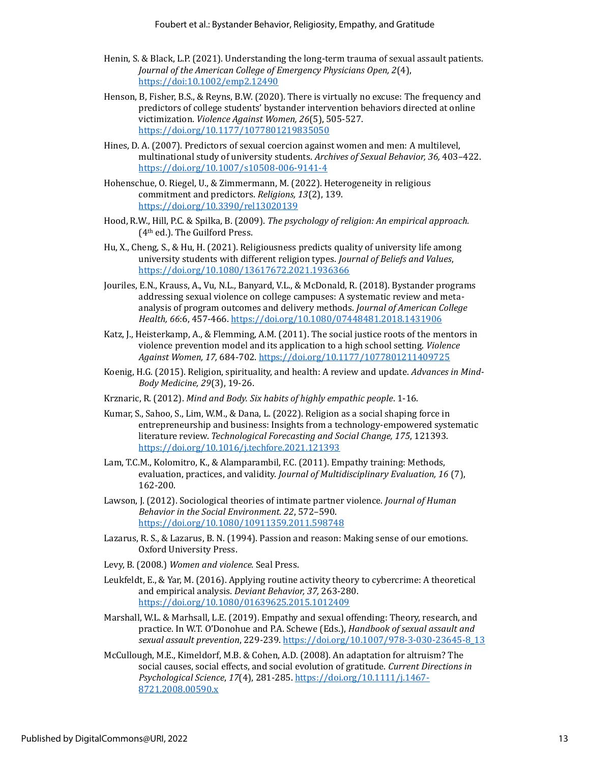- Henin, S. & Black, L.P. (2021). Understanding the long-term trauma of sexual assault patients. *Journal of the American College of Emergency Physicians Open, 2*(4), https://doi:10.1002/emp2.12490
- Henson, B, Fisher, B.S., & Reyns, B.W. (2020). There is virtually no excuse: The frequency and predictors of college students' bystander intervention behaviors directed at online victimization. *Violence Against Women, 26*(5), 505-527. https://doi.org/10.1177/1077801219835050
- Hines, D. A. (2007). Predictors of sexual coercion against women and men: A multilevel, multinational study of university students. *Archives of Sexual Behavior, 36,* 403–422. https://doi.org/10.1007/s10508-006-9141-4
- Hohenschue, O. Riegel, U., & Zimmermann, M. (2022). Heterogeneity in religious commitment and predictors. *Religions, 13*(2), 139. https://doi.org/10.3390/rel13020139
- Hood, R.W., Hill, P.C. & Spilka, B. (2009). *The psychology of religion: An empirical approach.* (4th ed.). The Guilford Press.
- Hu, X., Cheng, S., & Hu, H. (2021). Religiousness predicts quality of university life among university students with different religion types. *Journal of Beliefs and Values*, https://doi.org/10.1080/13617672.2021.1936366
- Jouriles, E.N., Krauss, A., Vu, N.L., Banyard, V.L., & McDonald, R. (2018). Bystander programs addressing sexual violence on college campuses: A systematic review and metaanalysis of program outcomes and delivery methods. *Journal of American College Health, 66*:6, 457-466. https://doi.org/10.1080/07448481.2018.1431906
- Katz, J., Heisterkamp, A., & Flemming, A.M. (2011). The social justice roots of the mentors in violence prevention model and its application to a high school setting. *Violence Against Women, 17,* 684-702. https://doi.org/10.1177/1077801211409725
- Koenig, H.G. (2015). Religion, spirituality, and health: A review and update. *Advances in Mind-Body Medicine, 29*(3), 19-26.
- Krznaric, R. (2012). *Mind and Body. Six habits of highly empathic people*. 1-16.
- Kumar, S., Sahoo, S., Lim, W.M., & Dana, L. (2022). Religion as a social shaping force in entrepreneurship and business: Insights from a technology-empowered systematic literature review. *Technological Forecasting and Social Change, 175*, 121393. https://doi.org/10.1016/j.techfore.2021.121393
- Lam, T.C.M., Kolomitro, K., & Alamparambil, F.C. (2011). Empathy training: Methods, evaluation, practices, and validity. *Journal of Multidisciplinary Evaluation, 16* (7), 162-200.
- Lawson, J. (2012). Sociological theories of intimate partner violence. *Journal of Human Behavior in the Social Environment. 22*, 572–590. https://doi.org/10.1080/10911359.2011.598748
- Lazarus, R. S., & Lazarus, B. N. (1994). Passion and reason: Making sense of our emotions. Oxford University Press.
- Levy, B. (2008.) *Women and violence.* Seal Press.
- Leukfeldt, E., & Yar, M. (2016). Applying routine activity theory to cybercrime: A theoretical and empirical analysis. *Deviant Behavior, 37,* 263-280. https://doi.org/10.1080/01639625.2015.1012409
- Marshall, W.L. & Marhsall, L.E. (2019). Empathy and sexual offending: Theory, research, and practice. In W.T. O'Donohue and P.A. Schewe (Eds.), *Handbook of sexual assault and sexual assault prevention*, 229-239. https://doi.org/10.1007/978-3-030-23645-8\_13
- McCullough, M.E., Kimeldorf, M.B. & Cohen, A.D. (2008). An adaptation for altruism? The social causes, social effects, and social evolution of gratitude. *Current Directions in Psychological Science*, *17*(4), 281-285. https://doi.org/10.1111/j.1467- 8721.2008.00590.x